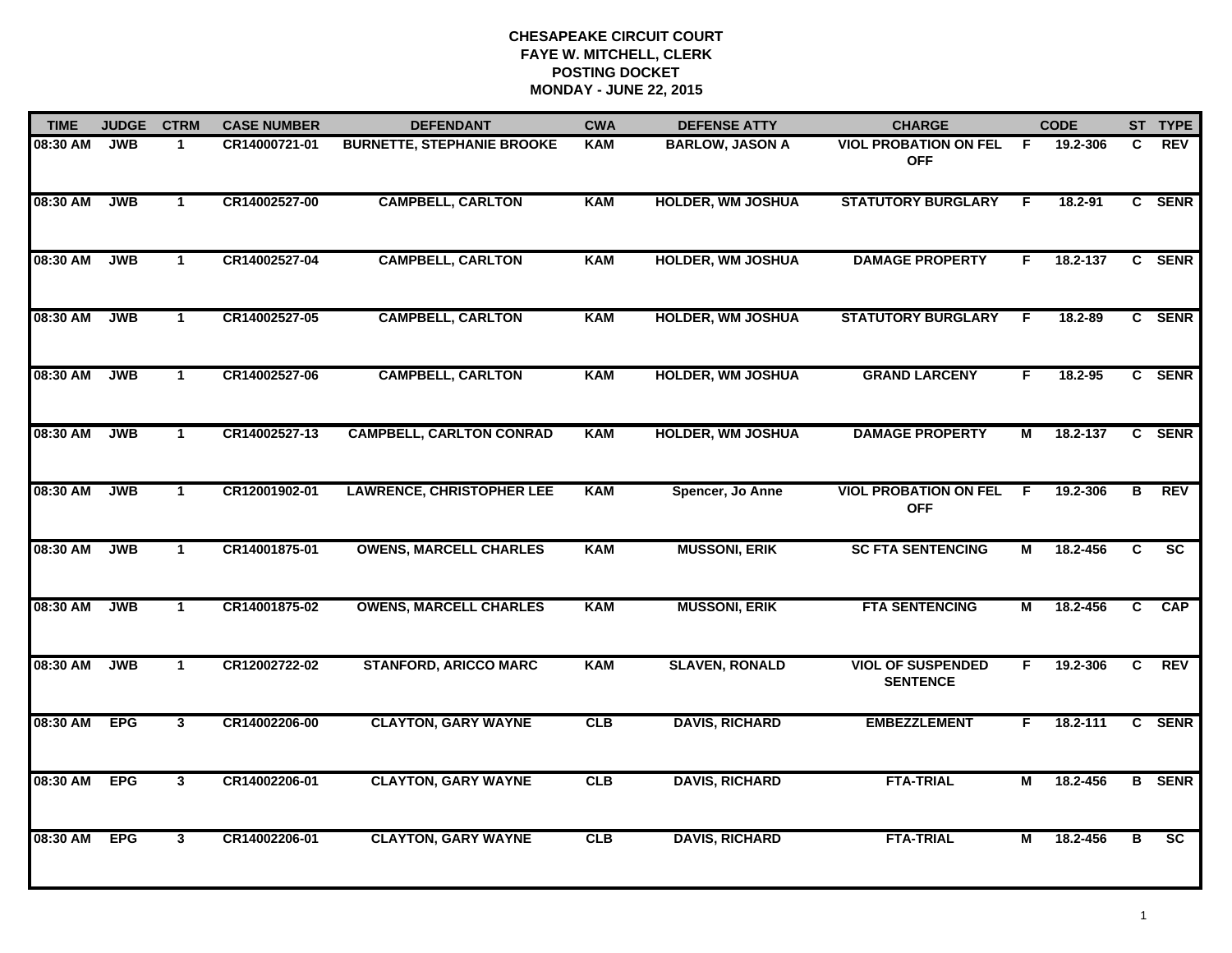| <b>TIME</b> | <b>JUDGE</b> | <b>CTRM</b>  | <b>CASE NUMBER</b> | <b>DEFENDANT</b>                  | <b>CWA</b> | <b>DEFENSE ATTY</b>      | <b>CHARGE</b>                               |     | <b>CODE</b> |              | ST TYPE                |
|-------------|--------------|--------------|--------------------|-----------------------------------|------------|--------------------------|---------------------------------------------|-----|-------------|--------------|------------------------|
| 08:30 AM    | <b>JWB</b>   | -1           | CR14000721-01      | <b>BURNETTE, STEPHANIE BROOKE</b> | <b>KAM</b> | <b>BARLOW, JASON A</b>   | <b>VIOL PROBATION ON FEL</b><br><b>OFF</b>  | - F | 19.2-306    | C            | <b>REV</b>             |
| 08:30 AM    | <b>JWB</b>   | $\mathbf{1}$ | CR14002527-00      | <b>CAMPBELL, CARLTON</b>          | <b>KAM</b> | <b>HOLDER, WM JOSHUA</b> | <b>STATUTORY BURGLARY</b>                   | F.  | 18.2-91     |              | C SENR                 |
| 08:30 AM    | <b>JWB</b>   | $\mathbf{1}$ | CR14002527-04      | <b>CAMPBELL, CARLTON</b>          | <b>KAM</b> | <b>HOLDER, WM JOSHUA</b> | <b>DAMAGE PROPERTY</b>                      | F   | 18.2-137    |              | C SENR                 |
| 08:30 AM    | <b>JWB</b>   | 1            | CR14002527-05      | <b>CAMPBELL, CARLTON</b>          | <b>KAM</b> | <b>HOLDER, WM JOSHUA</b> | <b>STATUTORY BURGLARY</b>                   | F   | 18.2-89     |              | C SENR                 |
| 08:30 AM    | <b>JWB</b>   | $\mathbf{1}$ | CR14002527-06      | <b>CAMPBELL, CARLTON</b>          | <b>KAM</b> | <b>HOLDER, WM JOSHUA</b> | <b>GRAND LARCENY</b>                        | F   | 18.2-95     |              | C SENR                 |
| 08:30 AM    | <b>JWB</b>   | $\mathbf{1}$ | CR14002527-13      | <b>CAMPBELL, CARLTON CONRAD</b>   | <b>KAM</b> | <b>HOLDER, WM JOSHUA</b> | <b>DAMAGE PROPERTY</b>                      | М   | 18.2-137    |              | C SENR                 |
| 08:30 AM    | <b>JWB</b>   | $\mathbf{1}$ | CR12001902-01      | <b>LAWRENCE, CHRISTOPHER LEE</b>  | <b>KAM</b> | Spencer, Jo Anne         | <b>VIOL PROBATION ON FEL</b><br><b>OFF</b>  | F.  | 19.2-306    | В            | <b>REV</b>             |
| 08:30 AM    | <b>JWB</b>   | $\mathbf{1}$ | CR14001875-01      | <b>OWENS, MARCELL CHARLES</b>     | <b>KAM</b> | <b>MUSSONI, ERIK</b>     | <b>SC FTA SENTENCING</b>                    | М   | 18.2-456    | C            | $\overline{\text{sc}}$ |
| 08:30 AM    | <b>JWB</b>   | $\mathbf 1$  | CR14001875-02      | <b>OWENS, MARCELL CHARLES</b>     | <b>KAM</b> | <b>MUSSONI, ERIK</b>     | <b>FTA SENTENCING</b>                       | М   | 18.2-456    | C.           | <b>CAP</b>             |
| 08:30 AM    | <b>JWB</b>   | $\mathbf{1}$ | CR12002722-02      | <b>STANFORD, ARICCO MARC</b>      | <b>KAM</b> | <b>SLAVEN, RONALD</b>    | <b>VIOL OF SUSPENDED</b><br><b>SENTENCE</b> | F.  | 19.2-306    | $\mathbf{C}$ | <b>REV</b>             |
| 08:30 AM    | <b>EPG</b>   | $\mathbf{3}$ | CR14002206-00      | <b>CLAYTON, GARY WAYNE</b>        | CLB        | <b>DAVIS, RICHARD</b>    | <b>EMBEZZLEMENT</b>                         | F.  | 18.2-111    |              | C SENR                 |
| 08:30 AM    | <b>EPG</b>   | $\mathbf{3}$ | CR14002206-01      | <b>CLAYTON, GARY WAYNE</b>        | CLB        | <b>DAVIS, RICHARD</b>    | <b>FTA-TRIAL</b>                            | М   | 18.2-456    |              | <b>B</b> SENR          |
| 08:30 AM    | <b>EPG</b>   | $\mathbf{3}$ | CR14002206-01      | <b>CLAYTON, GARY WAYNE</b>        | CLB        | <b>DAVIS, RICHARD</b>    | <b>FTA-TRIAL</b>                            | М   | 18.2-456    | в            | $\overline{\text{sc}}$ |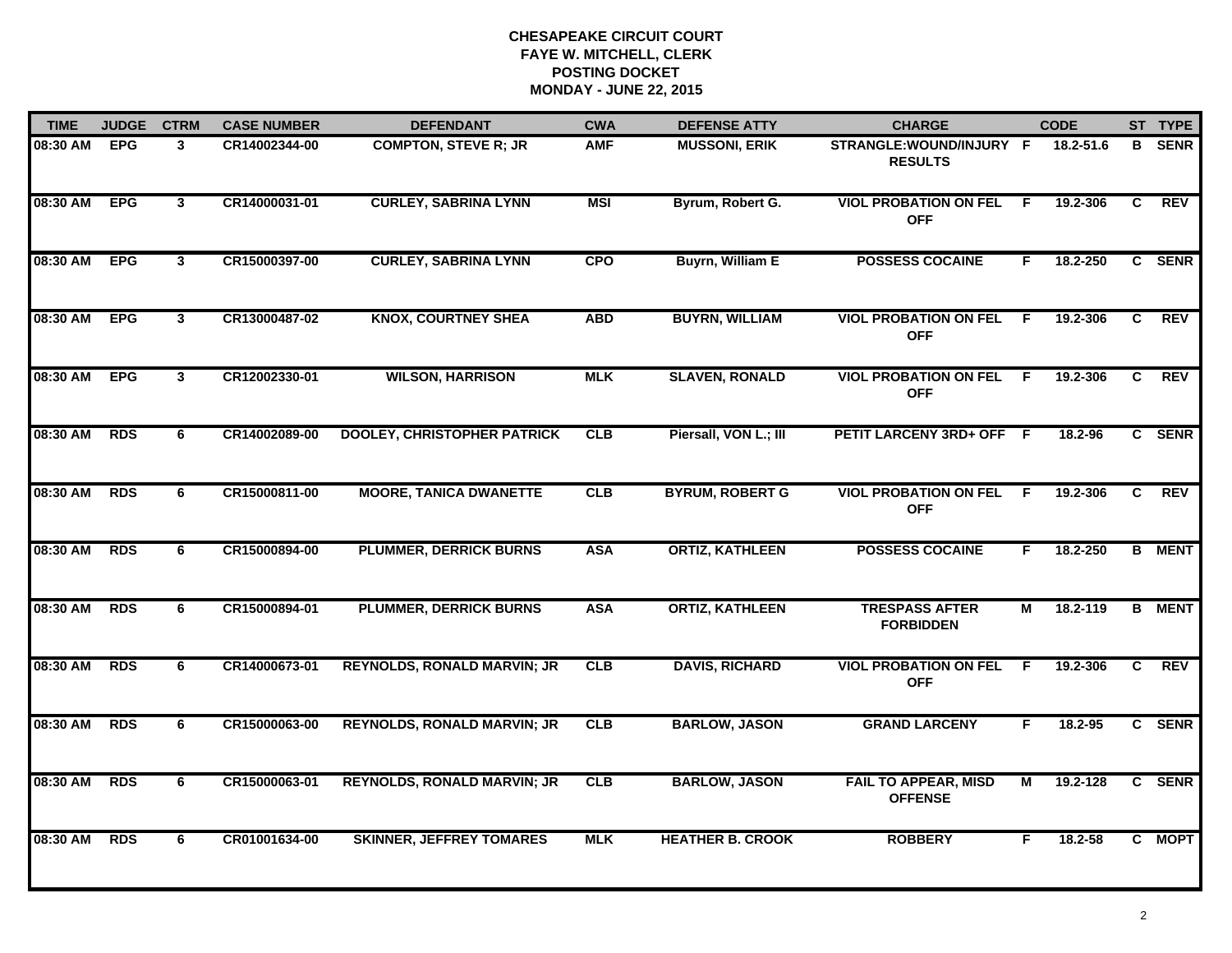| <b>TIME</b>  | <b>JUDGE</b> | <b>CTRM</b>    | <b>CASE NUMBER</b> | <b>DEFENDANT</b>                   | <b>CWA</b> | <b>DEFENSE ATTY</b>     | <b>CHARGE</b>                                 |                | <b>CODE</b> |    | ST TYPE       |
|--------------|--------------|----------------|--------------------|------------------------------------|------------|-------------------------|-----------------------------------------------|----------------|-------------|----|---------------|
| 08:30 AM EPG |              | 3              | CR14002344-00      | <b>COMPTON, STEVE R: JR</b>        | <b>AMF</b> | <b>MUSSONI, ERIK</b>    | STRANGLE:WOUND/INJURY F<br><b>RESULTS</b>     |                | 18.2-51.6   | B. | <b>SENR</b>   |
| 08:30 AM     | <b>EPG</b>   | $\mathbf{3}$   | CR14000031-01      | <b>CURLEY, SABRINA LYNN</b>        | <b>MSI</b> | Byrum, Robert G.        | <b>VIOL PROBATION ON FEL</b><br><b>OFF</b>    | -F             | 19.2-306    | C  | REV           |
| 08:30 AM     | <b>EPG</b>   | $\overline{3}$ | CR15000397-00      | <b>CURLEY, SABRINA LYNN</b>        | <b>CPO</b> | <b>Buyrn, William E</b> | <b>POSSESS COCAINE</b>                        | F              | 18.2-250    |    | C SENR        |
| 08:30 AM     | <b>EPG</b>   | 3              | CR13000487-02      | <b>KNOX, COURTNEY SHEA</b>         | <b>ABD</b> | <b>BUYRN, WILLIAM</b>   | <b>VIOL PROBATION ON FEL</b><br><b>OFF</b>    | -F             | 19.2-306    | C  | <b>REV</b>    |
| 08:30 AM     | <b>EPG</b>   | 3              | CR12002330-01      | <b>WILSON, HARRISON</b>            | <b>MLK</b> | <b>SLAVEN, RONALD</b>   | <b>VIOL PROBATION ON FEL</b><br><b>OFF</b>    | E              | 19.2-306    | C  | <b>REV</b>    |
| 08:30 AM     | <b>RDS</b>   | 6              | CR14002089-00      | <b>DOOLEY, CHRISTOPHER PATRICK</b> | <b>CLB</b> | Piersall, VON L.; III   | PETIT LARCENY 3RD+ OFF F                      |                | 18.2-96     |    | C SENR        |
| 08:30 AM     | <b>RDS</b>   | $\overline{6}$ | CR15000811-00      | <b>MOORE, TANICA DWANETTE</b>      | <b>CLB</b> | <b>BYRUM, ROBERT G</b>  | <b>VIOL PROBATION ON FEL</b><br><b>OFF</b>    | F.             | 19.2-306    | C  | <b>REV</b>    |
| 08:30 AM     | <b>RDS</b>   | 6              | CR15000894-00      | <b>PLUMMER, DERRICK BURNS</b>      | <b>ASA</b> | <b>ORTIZ, KATHLEEN</b>  | <b>POSSESS COCAINE</b>                        | F.             | 18.2-250    |    | <b>B</b> MENT |
| 08:30 AM     | <b>RDS</b>   | 6              | CR15000894-01      | <b>PLUMMER, DERRICK BURNS</b>      | <b>ASA</b> | <b>ORTIZ, KATHLEEN</b>  | <b>TRESPASS AFTER</b><br><b>FORBIDDEN</b>     | М              | 18.2-119    |    | <b>B</b> MENT |
| 08:30 AM     | <b>RDS</b>   | 6              | CR14000673-01      | <b>REYNOLDS, RONALD MARVIN; JR</b> | <b>CLB</b> | <b>DAVIS, RICHARD</b>   | <b>VIOL PROBATION ON FEL</b><br><b>OFF</b>    | -F             | 19.2-306    | C. | <b>REV</b>    |
| 08:30 AM     | <b>RDS</b>   | 6              | CR15000063-00      | <b>REYNOLDS, RONALD MARVIN; JR</b> | CLB        | <b>BARLOW, JASON</b>    | <b>GRAND LARCENY</b>                          | F.             | 18.2-95     |    | C SENR        |
| 08:30 AM     | <b>RDS</b>   | 6              | CR15000063-01      | <b>REYNOLDS, RONALD MARVIN; JR</b> | CLB        | <b>BARLOW, JASON</b>    | <b>FAIL TO APPEAR, MISD</b><br><b>OFFENSE</b> | $\overline{M}$ | 19.2-128    |    | C SENR        |
| 08:30 AM     | <b>RDS</b>   | 6              | CR01001634-00      | <b>SKINNER, JEFFREY TOMARES</b>    | <b>MLK</b> | <b>HEATHER B. CROOK</b> | <b>ROBBERY</b>                                | F.             | 18.2-58     |    | C MOPT        |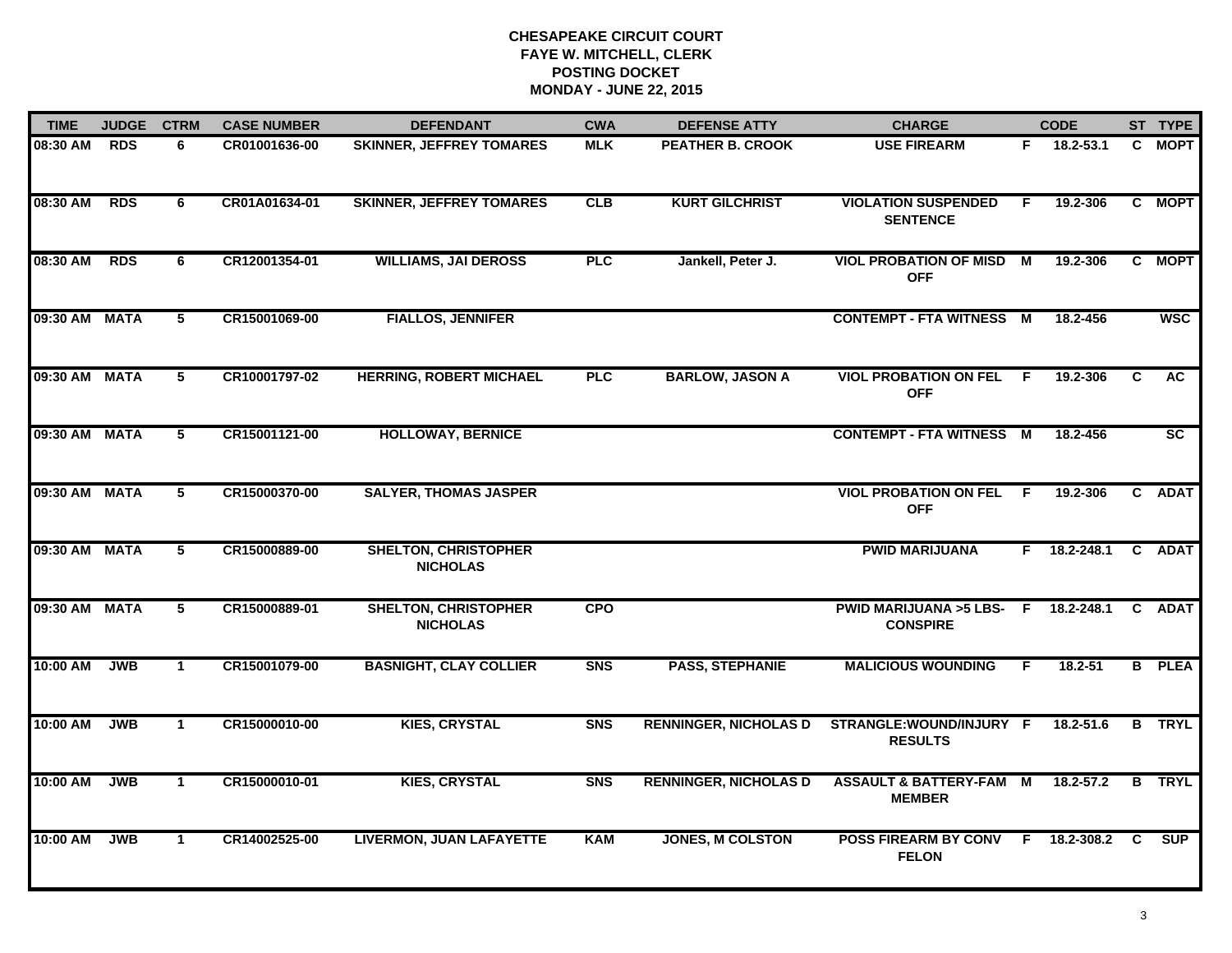| <b>TIME</b>   | <b>JUDGE</b> | <b>CTRM</b>     | <b>CASE NUMBER</b> | <b>DEFENDANT</b>                               | <b>CWA</b> | <b>DEFENSE ATTY</b>          | <b>CHARGE</b>                                       | <b>CODE</b> |                |    | ST TYPE       |
|---------------|--------------|-----------------|--------------------|------------------------------------------------|------------|------------------------------|-----------------------------------------------------|-------------|----------------|----|---------------|
| 08:30 AM      | <b>RDS</b>   | 6               | CR01001636-00      | <b>SKINNER, JEFFREY TOMARES</b>                | <b>MLK</b> | <b>PEATHER B. CROOK</b>      | <b>USE FIREARM</b>                                  | F.          | 18.2-53.1      |    | C MOPT        |
| 08:30 AM      | <b>RDS</b>   | 6               | CR01A01634-01      | <b>SKINNER, JEFFREY TOMARES</b>                | <b>CLB</b> | <b>KURT GILCHRIST</b>        | <b>VIOLATION SUSPENDED</b><br><b>SENTENCE</b>       | E           | 19.2-306       | C  | <b>MOPT</b>   |
| 08:30 AM      | <b>RDS</b>   | 6               | CR12001354-01      | <b>WILLIAMS, JAI DEROSS</b>                    | <b>PLC</b> | Jankell, Peter J.            | <b>VIOL PROBATION OF MISD</b><br><b>OFF</b>         | M           | 19.2-306       |    | C MOPT        |
| 09:30 AM MATA |              | 5               | CR15001069-00      | <b>FIALLOS, JENNIFER</b>                       |            |                              | <b>CONTEMPT - FTA WITNESS M</b>                     |             | 18.2-456       |    | <b>WSC</b>    |
| 09:30 AM MATA |              | 5               | CR10001797-02      | <b>HERRING, ROBERT MICHAEL</b>                 | <b>PLC</b> | <b>BARLOW, JASON A</b>       | <b>VIOL PROBATION ON FEL</b><br><b>OFF</b>          | F.          | 19.2-306       | C  | <b>AC</b>     |
| 09:30 AM MATA |              | 5               | CR15001121-00      | <b>HOLLOWAY, BERNICE</b>                       |            |                              | <b>CONTEMPT - FTA WITNESS M</b>                     |             | 18.2-456       |    | SC            |
| 09:30 AM MATA |              | $5\overline{ }$ | CR15000370-00      | <b>SALYER, THOMAS JASPER</b>                   |            |                              | <b>VIOL PROBATION ON FEL</b><br><b>OFF</b>          | F.          | 19.2-306       | C  | <b>ADAT</b>   |
| 09:30 AM MATA |              | $5^{\circ}$     | CR15000889-00      | <b>SHELTON, CHRISTOPHER</b><br><b>NICHOLAS</b> |            |                              | <b>PWID MARIJUANA</b>                               |             | $F$ 18.2-248.1 |    | C ADAT        |
| 09:30 AM MATA |              | 5               | CR15000889-01      | <b>SHELTON, CHRISTOPHER</b><br><b>NICHOLAS</b> | <b>CPO</b> |                              | <b>PWID MARIJUANA &gt;5 LBS-</b><br><b>CONSPIRE</b> | - F         | 18.2-248.1     |    | C ADAT        |
| 10:00 AM      | <b>JWB</b>   | $\mathbf{1}$    | CR15001079-00      | <b>BASNIGHT, CLAY COLLIER</b>                  | <b>SNS</b> | <b>PASS, STEPHANIE</b>       | <b>MALICIOUS WOUNDING</b>                           | F.          | $18.2 - 51$    |    | <b>B</b> PLEA |
| 10:00 AM      | <b>JWB</b>   | $\mathbf{1}$    | CR15000010-00      | <b>KIES, CRYSTAL</b>                           | <b>SNS</b> | <b>RENNINGER, NICHOLAS D</b> | STRANGLE:WOUND/INJURY F<br><b>RESULTS</b>           |             | 18.2-51.6      |    | <b>B</b> TRYL |
| 10:00 AM      | <b>JWB</b>   | $\mathbf{1}$    | CR15000010-01      | <b>KIES, CRYSTAL</b>                           | <b>SNS</b> | <b>RENNINGER, NICHOLAS D</b> | <b>ASSAULT &amp; BATTERY-FAM M</b><br><b>MEMBER</b> |             | 18.2-57.2      |    | <b>B</b> TRYL |
| 10:00 AM      | <b>JWB</b>   | $\mathbf{1}$    | CR14002525-00      | <b>LIVERMON, JUAN LAFAYETTE</b>                | <b>KAM</b> | <b>JONES, M COLSTON</b>      | <b>POSS FIREARM BY CONV</b><br><b>FELON</b>         |             | F 18.2-308.2   | C. | <b>SUP</b>    |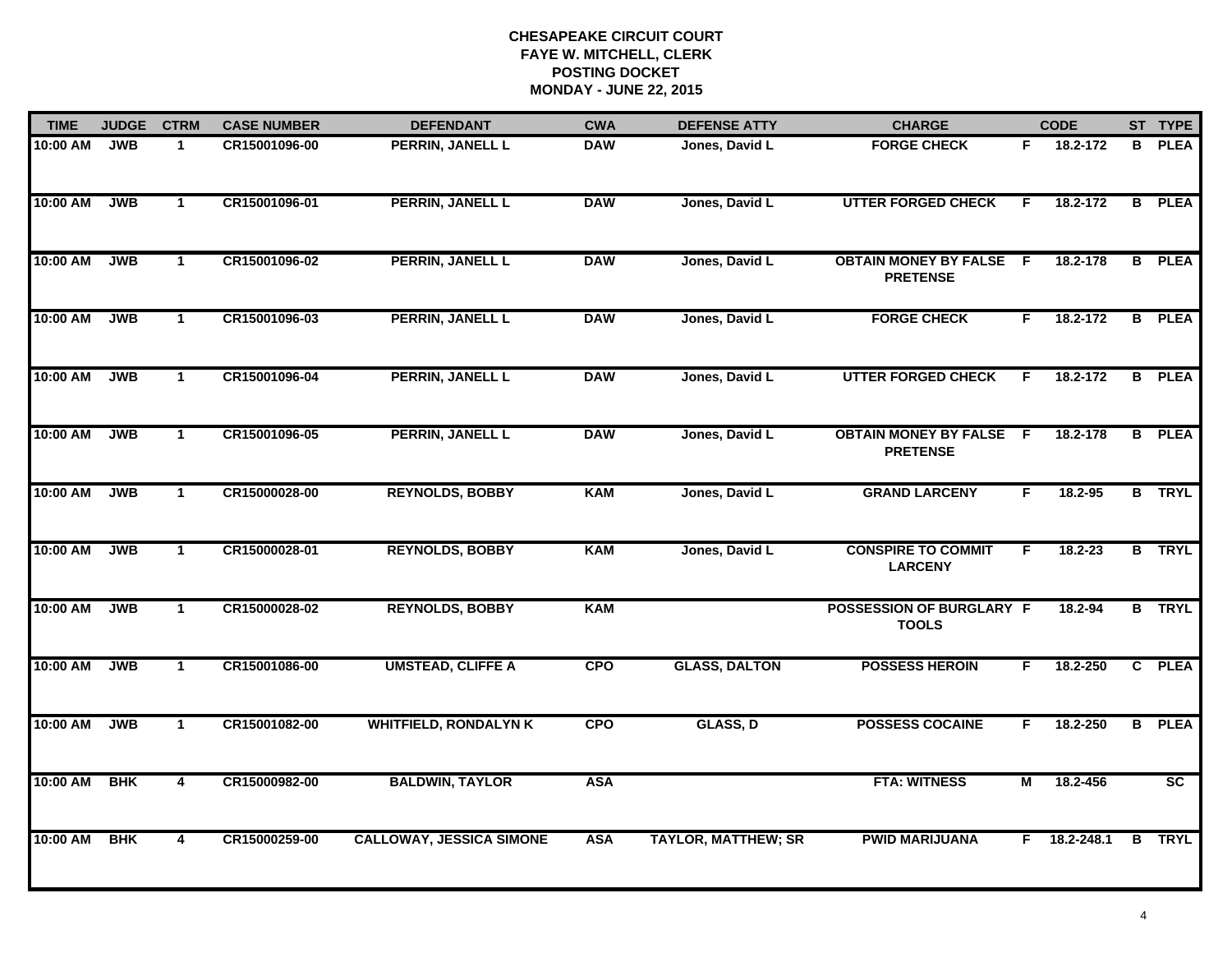| <b>TIME</b> | <b>JUDGE</b><br><b>CTRM</b> |                         | <b>CASE NUMBER</b> | <b>DEFENDANT</b>                | <b>CWA</b> | <b>DEFENSE ATTY</b>        | <b>CHARGE</b>                                     | <b>CODE</b> |                         |    | ST TYPE         |
|-------------|-----------------------------|-------------------------|--------------------|---------------------------------|------------|----------------------------|---------------------------------------------------|-------------|-------------------------|----|-----------------|
| 10:00 AM    | <b>JWB</b>                  | $\mathbf{1}$            | CR15001096-00      | PERRIN, JANELL L                | <b>DAW</b> | Jones, David L             | <b>FORGE CHECK</b>                                | F.          | $\overline{18.2 - 172}$ | B. | <b>PLEA</b>     |
| 10:00 AM    | <b>JWB</b>                  | $\mathbf{1}$            | CR15001096-01      | PERRIN, JANELL L                | <b>DAW</b> | Jones, David L             | <b>UTTER FORGED CHECK</b>                         | F           | 18.2-172                |    | <b>B</b> PLEA   |
| 10:00 AM    | <b>JWB</b>                  | $\mathbf{1}$            | CR15001096-02      | PERRIN, JANELL L                | <b>DAW</b> | Jones, David L             | <b>OBTAIN MONEY BY FALSE F</b><br><b>PRETENSE</b> |             | 18.2-178                |    | <b>B</b> PLEA   |
| 10:00 AM    | <b>JWB</b>                  | $\mathbf{1}$            | CR15001096-03      | <b>PERRIN, JANELL L</b>         | <b>DAW</b> | Jones, David L             | <b>FORGE CHECK</b>                                | F.          | 18.2-172                |    | <b>B</b> PLEA   |
| 10:00 AM    | <b>JWB</b>                  | $\mathbf 1$             | CR15001096-04      | <b>PERRIN, JANELL L</b>         | <b>DAW</b> | Jones, David L             | <b>UTTER FORGED CHECK</b>                         | F.          | 18.2-172                |    | <b>B</b> PLEA   |
| 10:00 AM    | <b>JWB</b>                  | $\mathbf{1}$            | CR15001096-05      | PERRIN, JANELL L                | <b>DAW</b> | Jones, David L             | <b>OBTAIN MONEY BY FALSE F</b><br><b>PRETENSE</b> |             | 18.2-178                |    | <b>B</b> PLEA   |
| 10:00 AM    | <b>JWB</b>                  | $\mathbf{1}$            | CR15000028-00      | <b>REYNOLDS, BOBBY</b>          | <b>KAM</b> | Jones, David L             | <b>GRAND LARCENY</b>                              | F.          | 18.2-95                 |    | <b>B</b> TRYL   |
| 10:00 AM    | <b>JWB</b>                  | $\mathbf{1}$            | CR15000028-01      | <b>REYNOLDS, BOBBY</b>          | <b>KAM</b> | Jones, David L             | <b>CONSPIRE TO COMMIT</b><br><b>LARCENY</b>       | F           | $18.2 - 23$             |    | <b>B</b> TRYL   |
| 10:00 AM    | <b>JWB</b>                  | $\mathbf{1}$            | CR15000028-02      | <b>REYNOLDS, BOBBY</b>          | <b>KAM</b> |                            | POSSESSION OF BURGLARY F<br><b>TOOLS</b>          |             | 18.2-94                 |    | <b>B</b> TRYL   |
| 10:00 AM    | <b>JWB</b>                  | $\mathbf{1}$            | CR15001086-00      | <b>UMSTEAD, CLIFFE A</b>        | <b>CPO</b> | <b>GLASS, DALTON</b>       | <b>POSSESS HEROIN</b>                             | F.          | 18.2-250                |    | C PLEA          |
| 10:00 AM    | <b>JWB</b>                  | $\mathbf{1}$            | CR15001082-00      | <b>WHITFIELD, RONDALYN K</b>    | <b>CPO</b> | GLASS, D                   | <b>POSSESS COCAINE</b>                            | F.          | 18.2-250                |    | <b>B</b> PLEA   |
| 10:00 AM    | <b>BHK</b>                  | $\overline{\mathbf{4}}$ | CR15000982-00      | <b>BALDWIN, TAYLOR</b>          | <b>ASA</b> |                            | <b>FTA: WITNESS</b>                               | М           | 18.2-456                |    | $\overline{sc}$ |
| 10:00 AM    | <b>BHK</b>                  | 4                       | CR15000259-00      | <b>CALLOWAY, JESSICA SIMONE</b> | <b>ASA</b> | <b>TAYLOR, MATTHEW; SR</b> | <b>PWID MARIJUANA</b>                             |             | $F$ 18.2-248.1          |    | <b>B</b> TRYL   |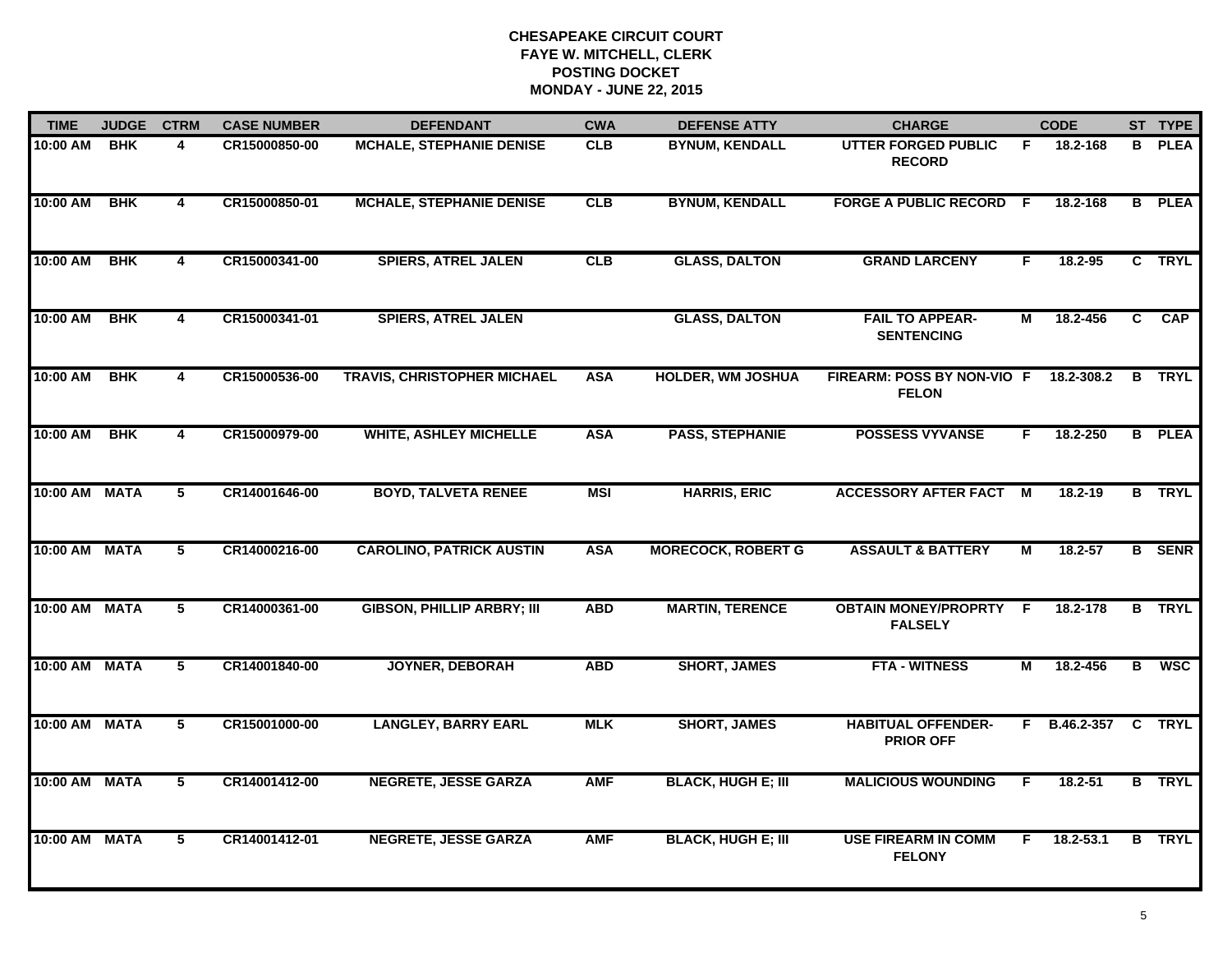| <b>TIME</b>   | <b>JUDGE</b> | <b>CTRM</b>             | <b>CASE NUMBER</b> | <b>DEFENDANT</b>                   | <b>CWA</b> | <b>DEFENSE ATTY</b>       | <b>CHARGE</b>                                 | <b>CODE</b> |               |          | ST TYPE       |
|---------------|--------------|-------------------------|--------------------|------------------------------------|------------|---------------------------|-----------------------------------------------|-------------|---------------|----------|---------------|
| 10:00 AM      | <b>BHK</b>   | 4                       | CR15000850-00      | <b>MCHALE, STEPHANIE DENISE</b>    | <b>CLB</b> | <b>BYNUM, KENDALL</b>     | UTTER FORGED PUBLIC<br><b>RECORD</b>          | F.          | 18.2-168      |          | <b>B</b> PLEA |
| 10:00 AM      | <b>BHK</b>   | 4                       | CR15000850-01      | <b>MCHALE, STEPHANIE DENISE</b>    | CLB        | <b>BYNUM, KENDALL</b>     | <b>FORGE A PUBLIC RECORD F</b>                |             | 18.2-168      |          | <b>B</b> PLEA |
| 10:00 AM      | <b>BHK</b>   | 4                       | CR15000341-00      | <b>SPIERS, ATREL JALEN</b>         | CLB        | <b>GLASS, DALTON</b>      | <b>GRAND LARCENY</b>                          | F           | 18.2-95       |          | C TRYL        |
| 10:00 AM      | <b>BHK</b>   | 4                       | CR15000341-01      | <b>SPIERS, ATREL JALEN</b>         |            | <b>GLASS, DALTON</b>      | <b>FAIL TO APPEAR-</b><br><b>SENTENCING</b>   | М           | 18.2-456      | C.       | <b>CAP</b>    |
| 10:00 AM      | <b>BHK</b>   | 4                       | CR15000536-00      | <b>TRAVIS, CHRISTOPHER MICHAEL</b> | <b>ASA</b> | <b>HOLDER, WM JOSHUA</b>  | FIREARM: POSS BY NON-VIO F<br><b>FELON</b>    |             | 18.2-308.2    | B        | <b>TRYL</b>   |
| 10:00 AM      | <b>BHK</b>   | 4                       | CR15000979-00      | <b>WHITE, ASHLEY MICHELLE</b>      | <b>ASA</b> | <b>PASS, STEPHANIE</b>    | <b>POSSESS VYVANSE</b>                        | F.          | 18.2-250      |          | <b>B</b> PLEA |
| 10:00 AM      | <b>MATA</b>  | $\overline{5}$          | CR14001646-00      | <b>BOYD, TALVETA RENEE</b>         | <b>MSI</b> | <b>HARRIS, ERIC</b>       | <b>ACCESSORY AFTER FACT M</b>                 |             | $18.2 - 19$   |          | <b>B</b> TRYL |
| 10:00 AM MATA |              | 5                       | CR14000216-00      | <b>CAROLINO, PATRICK AUSTIN</b>    | <b>ASA</b> | <b>MORECOCK, ROBERT G</b> | <b>ASSAULT &amp; BATTERY</b>                  | М           | 18.2-57       |          | <b>B</b> SENR |
| 10:00 AM      | <b>MATA</b>  | 5                       | CR14000361-00      | <b>GIBSON, PHILLIP ARBRY; III</b>  | <b>ABD</b> | <b>MARTIN, TERENCE</b>    | <b>OBTAIN MONEY/PROPRTY</b><br><b>FALSELY</b> | -F          | 18.2-178      | B        | <b>TRYL</b>   |
| 10:00 AM MATA |              | $5^{\circ}$             | CR14001840-00      | <b>JOYNER, DEBORAH</b>             | <b>ABD</b> | <b>SHORT, JAMES</b>       | <b>FTA - WITNESS</b>                          | М           | 18.2-456      | B        | <b>WSC</b>    |
| 10:00 AM      | <b>MATA</b>  | 5                       | CR15001000-00      | <b>LANGLEY, BARRY EARL</b>         | <b>MLK</b> | <b>SHORT, JAMES</b>       | <b>HABITUAL OFFENDER-</b><br><b>PRIOR OFF</b> | F.          | B.46.2-357    | <b>C</b> | <b>TRYL</b>   |
| 10:00 AM      | <b>MATA</b>  | $\overline{\mathbf{5}}$ | CR14001412-00      | <b>NEGRETE, JESSE GARZA</b>        | <b>AMF</b> | <b>BLACK, HUGH E; III</b> | <b>MALICIOUS WOUNDING</b>                     | F.          | $18.2 - 51$   |          | <b>B</b> TRYL |
| 10:00 AM MATA |              | 5                       | CR14001412-01      | <b>NEGRETE, JESSE GARZA</b>        | <b>AMF</b> | <b>BLACK, HUGH E; III</b> | <b>USE FIREARM IN COMM</b><br><b>FELONY</b>   | F.          | $18.2 - 53.1$ |          | <b>B</b> TRYL |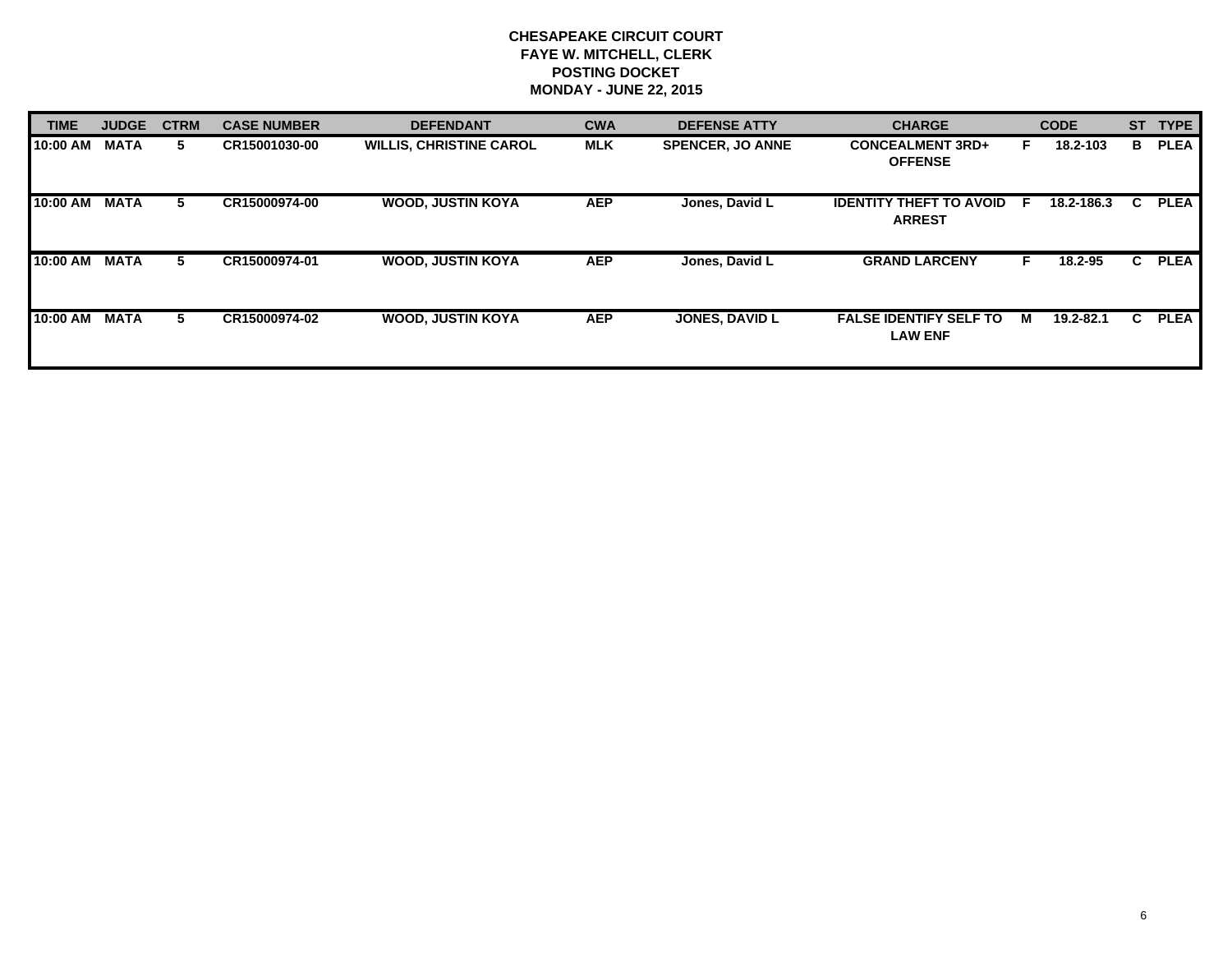| <b>TIME</b> | <b>JUDGE</b> | <b>CTRM</b> | <b>CASE NUMBER</b> | <b>DEFENDANT</b>               | <b>CWA</b> | <b>DEFENSE ATTY</b>     | <b>CHARGE</b>                                   | <b>CODE</b> |            | <b>ST</b> | <b>TYPE</b> |
|-------------|--------------|-------------|--------------------|--------------------------------|------------|-------------------------|-------------------------------------------------|-------------|------------|-----------|-------------|
| 10:00 AM    | <b>MATA</b>  | 5.          | CR15001030-00      | <b>WILLIS, CHRISTINE CAROL</b> | <b>MLK</b> | <b>SPENCER. JO ANNE</b> | <b>CONCEALMENT 3RD+</b><br><b>OFFENSE</b>       | ь.          | 18.2-103   | B         | <b>PLEA</b> |
| 10:00 AM    | <b>MATA</b>  | 5           | CR15000974-00      | <b>WOOD, JUSTIN KOYA</b>       | <b>AEP</b> | Jones, David L          | <b>IDENTITY THEFT TO AVOID</b><br><b>ARREST</b> | -F          | 18.2-186.3 | C.        | <b>PLEA</b> |
| 10:00 AM    | <b>MATA</b>  | 5.          | CR15000974-01      | <b>WOOD, JUSTIN KOYA</b>       | <b>AEP</b> | Jones, David L          | <b>GRAND LARCENY</b>                            | F           | 18.2-95    | C.        | <b>PLEA</b> |
| 10:00 AM    | <b>MATA</b>  | 5.          | CR15000974-02      | <b>WOOD, JUSTIN KOYA</b>       | <b>AEP</b> | <b>JONES, DAVID L</b>   | <b>FALSE IDENTIFY SELF TO</b><br><b>LAW ENF</b> | м           | 19.2-82.1  | C.        | <b>PLEA</b> |